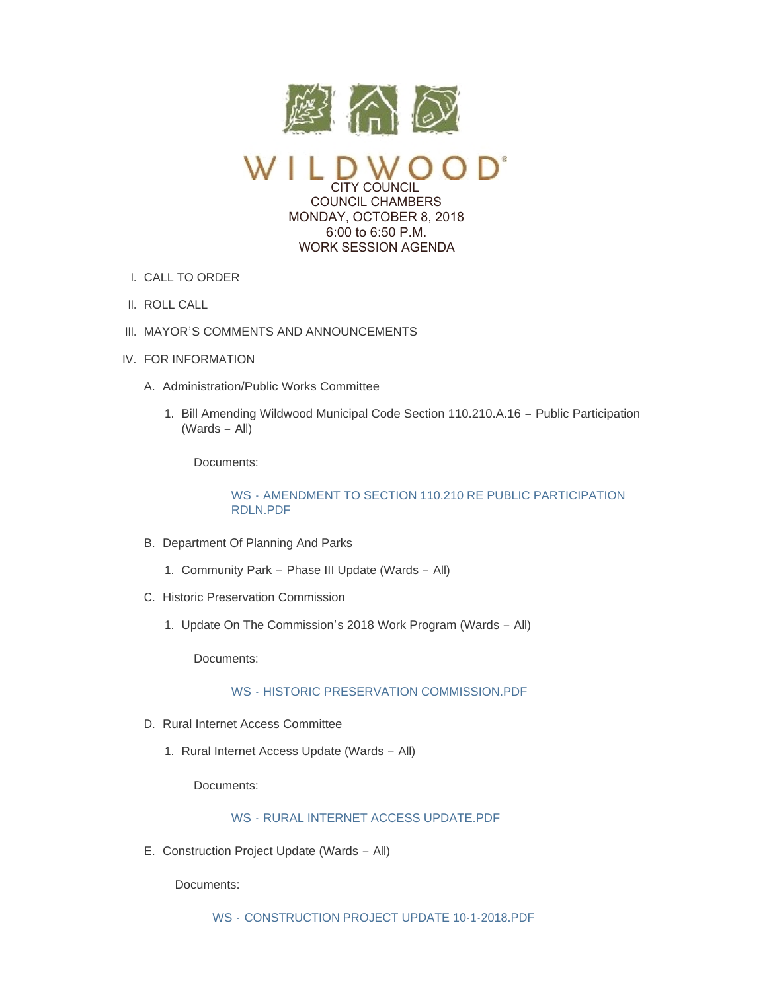

CITY COUNCIL COUNCIL CHAMBERS MONDAY, OCTOBER 8, 2018 6:00 to 6:50 P.M. WORK SESSION AGENDA

- CALL TO ORDER I.
- II. ROLL CALL
- III. MAYOR'S COMMENTS AND ANNOUNCEMENTS
- IV. FOR INFORMATION
	- A. Administration/Public Works Committee
		- 1. Bill Amending Wildwood Municipal Code Section 110.210.A.16 Public Participation (Wards – All)

Documents:

## WS - [AMENDMENT TO SECTION 110.210 RE PUBLIC PARTICIPATION](https://www.cityofwildwood.com/AgendaCenter/ViewFile/Item/17419?fileID=24832)  RDLN.PDF

- B. Department Of Planning And Parks
	- 1. Community Park Phase III Update (Wards All)
- C. Historic Preservation Commission
	- 1. Update On The Commission's 2018 Work Program (Wards All)

Documents:

WS - [HISTORIC PRESERVATION COMMISSION.PDF](https://www.cityofwildwood.com/AgendaCenter/ViewFile/Item/17423?fileID=24834)

- D. Rural Internet Access Committee
	- 1. Rural Internet Access Update (Wards All)

Documents:

# WS - [RURAL INTERNET ACCESS UPDATE.PDF](https://www.cityofwildwood.com/AgendaCenter/ViewFile/Item/17425?fileID=24840)

E. Construction Project Update (Wards - All)

Documents:

WS - [CONSTRUCTION PROJECT UPDATE 10-1-2018.PDF](https://www.cityofwildwood.com/AgendaCenter/ViewFile/Item/17426?fileID=24835)